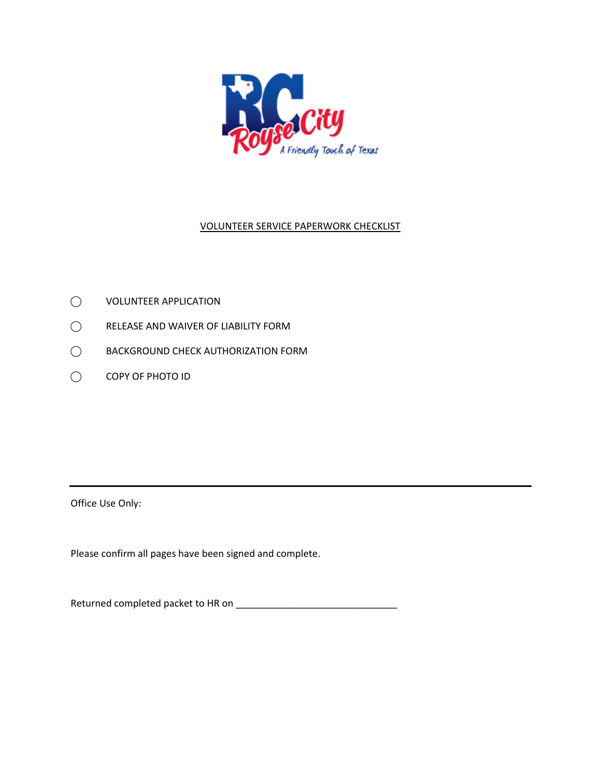

## VOLUNTEER SERVICE PAPERWORK CHECKLIST

- ⃝ VOLUNTEER APPLICATION
- ⃝ RELEASE AND WAIVER OF LIABILITY FORM
- ⃝ BACKGROUND CHECK AUTHORIZATION FORM
- ⃝ COPY OF PHOTO ID

Office Use Only:

Please confirm all pages have been signed and complete.

Returned completed packet to HR on \_\_\_\_\_\_\_\_\_\_\_\_\_\_\_\_\_\_\_\_\_\_\_\_\_\_\_\_\_\_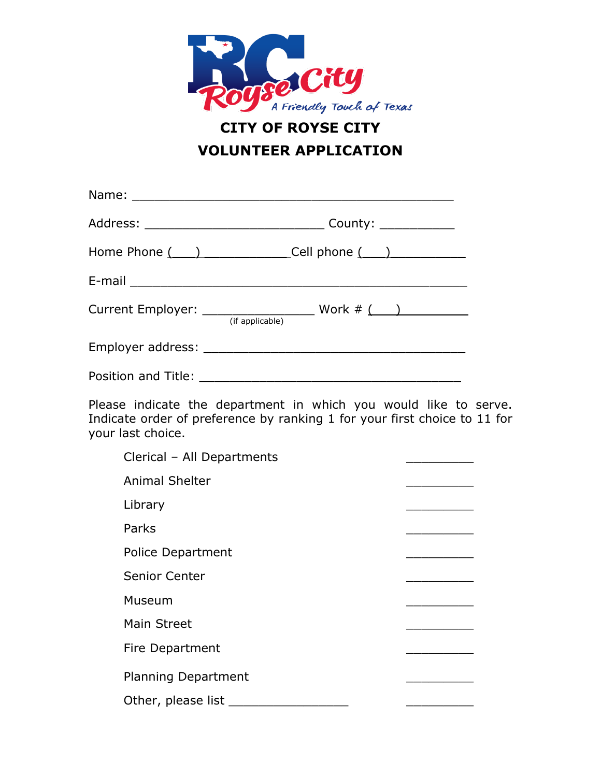

## **CITY OF ROYSE CITY VOLUNTEER APPLICATION**

|                     | (if applicable) |
|---------------------|-----------------|
|                     |                 |
| Position and Title: |                 |

Please indicate the department in which you would like to serve. Indicate order of preference by ranking 1 for your first choice to 11 for your last choice.

| Clerical - All Departments |  |
|----------------------------|--|
| <b>Animal Shelter</b>      |  |
| Library                    |  |
| Parks                      |  |
| <b>Police Department</b>   |  |
| <b>Senior Center</b>       |  |
| Museum                     |  |
| Main Street                |  |
| Fire Department            |  |
| <b>Planning Department</b> |  |
| Other, please list __      |  |
|                            |  |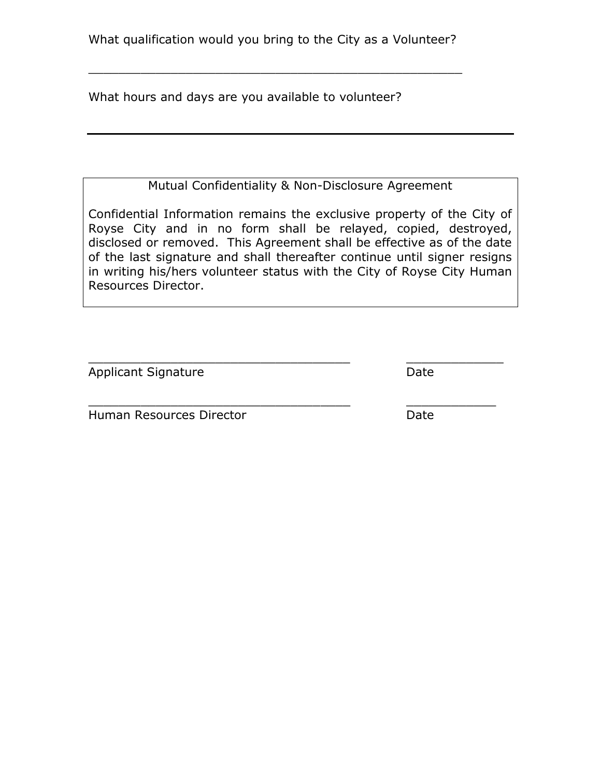What qualification would you bring to the City as a Volunteer?

\_\_\_\_\_\_\_\_\_\_\_\_\_\_\_\_\_\_\_\_\_\_\_\_\_\_\_\_\_\_\_\_\_\_\_\_\_\_\_\_\_\_\_\_\_\_\_\_\_\_

What hours and days are you available to volunteer?

Mutual Confidentiality & Non-Disclosure Agreement

Confidential Information remains the exclusive property of the City of Royse City and in no form shall be relayed, copied, destroyed, disclosed or removed. This Agreement shall be effective as of the date of the last signature and shall thereafter continue until signer resigns in writing his/hers volunteer status with the City of Royse City Human Resources Director.

\_\_\_\_\_\_\_\_\_\_\_\_\_\_\_\_\_\_\_\_\_\_\_\_\_\_\_\_\_\_\_\_\_\_\_ \_\_\_\_\_\_\_\_\_\_\_\_\_

\_\_\_\_\_\_\_\_\_\_\_\_\_\_\_\_\_\_\_\_\_\_\_\_\_\_\_\_\_\_\_\_\_\_\_ \_\_\_\_\_\_\_\_\_\_\_\_

Applicant Signature Date

Human Resources Director **Date** Date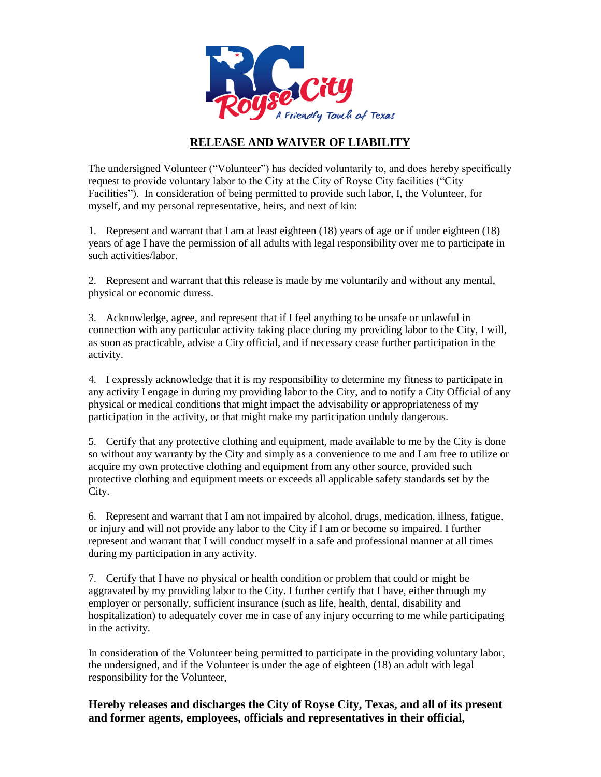

## **RELEASE AND WAIVER OF LIABILITY**

The undersigned Volunteer ("Volunteer") has decided voluntarily to, and does hereby specifically request to provide voluntary labor to the City at the City of Royse City facilities ("City Facilities"). In consideration of being permitted to provide such labor, I, the Volunteer, for myself, and my personal representative, heirs, and next of kin:

1. Represent and warrant that I am at least eighteen (18) years of age or if under eighteen (18) years of age I have the permission of all adults with legal responsibility over me to participate in such activities/labor.

2. Represent and warrant that this release is made by me voluntarily and without any mental, physical or economic duress.

3. Acknowledge, agree, and represent that if I feel anything to be unsafe or unlawful in connection with any particular activity taking place during my providing labor to the City, I will, as soon as practicable, advise a City official, and if necessary cease further participation in the activity.

4. I expressly acknowledge that it is my responsibility to determine my fitness to participate in any activity I engage in during my providing labor to the City, and to notify a City Official of any physical or medical conditions that might impact the advisability or appropriateness of my participation in the activity, or that might make my participation unduly dangerous.

5. Certify that any protective clothing and equipment, made available to me by the City is done so without any warranty by the City and simply as a convenience to me and I am free to utilize or acquire my own protective clothing and equipment from any other source, provided such protective clothing and equipment meets or exceeds all applicable safety standards set by the City.

6. Represent and warrant that I am not impaired by alcohol, drugs, medication, illness, fatigue, or injury and will not provide any labor to the City if I am or become so impaired. I further represent and warrant that I will conduct myself in a safe and professional manner at all times during my participation in any activity.

7. Certify that I have no physical or health condition or problem that could or might be aggravated by my providing labor to the City. I further certify that I have, either through my employer or personally, sufficient insurance (such as life, health, dental, disability and hospitalization) to adequately cover me in case of any injury occurring to me while participating in the activity.

In consideration of the Volunteer being permitted to participate in the providing voluntary labor, the undersigned, and if the Volunteer is under the age of eighteen (18) an adult with legal responsibility for the Volunteer,

**Hereby releases and discharges the City of Royse City, Texas, and all of its present and former agents, employees, officials and representatives in their official,**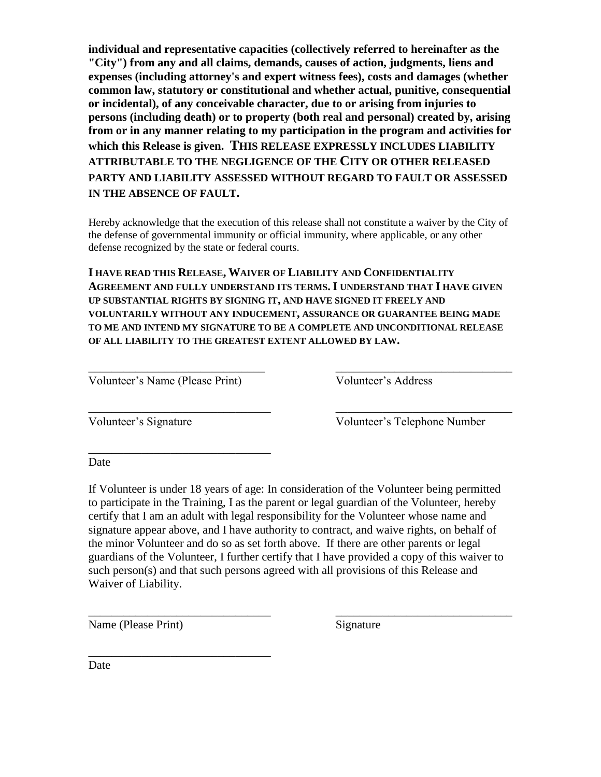**individual and representative capacities (collectively referred to hereinafter as the "City") from any and all claims, demands, causes of action, judgments, liens and expenses (including attorney's and expert witness fees), costs and damages (whether common law, statutory or constitutional and whether actual, punitive, consequential or incidental), of any conceivable character, due to or arising from injuries to persons (including death) or to property (both real and personal) created by, arising from or in any manner relating to my participation in the program and activities for which this Release is given. THIS RELEASE EXPRESSLY INCLUDES LIABILITY ATTRIBUTABLE TO THE NEGLIGENCE OF THE CITY OR OTHER RELEASED PARTY AND LIABILITY ASSESSED WITHOUT REGARD TO FAULT OR ASSESSED IN THE ABSENCE OF FAULT.**

Hereby acknowledge that the execution of this release shall not constitute a waiver by the City of the defense of governmental immunity or official immunity, where applicable, or any other defense recognized by the state or federal courts.

**I HAVE READ THIS RELEASE, WAIVER OF LIABILITY AND CONFIDENTIALITY AGREEMENT AND FULLY UNDERSTAND ITS TERMS. I UNDERSTAND THAT I HAVE GIVEN UP SUBSTANTIAL RIGHTS BY SIGNING IT, AND HAVE SIGNED IT FREELY AND VOLUNTARILY WITHOUT ANY INDUCEMENT, ASSURANCE OR GUARANTEE BEING MADE TO ME AND INTEND MY SIGNATURE TO BE A COMPLETE AND UNCONDITIONAL RELEASE OF ALL LIABILITY TO THE GREATEST EXTENT ALLOWED BY LAW.**

\_\_\_\_\_\_\_\_\_\_\_\_\_\_\_\_\_\_\_\_\_\_\_\_\_\_\_\_\_\_ \_\_\_\_\_\_\_\_\_\_\_\_\_\_\_\_\_\_\_\_\_\_\_\_\_\_\_\_\_\_

Volunteer's Name (Please Print) Volunteer's Address

\_\_\_\_\_\_\_\_\_\_\_\_\_\_\_\_\_\_\_\_\_\_\_\_\_\_\_\_\_\_\_

\_\_\_\_\_\_\_\_\_\_\_\_\_\_\_\_\_\_\_\_\_\_\_\_\_\_\_\_\_\_\_

\_\_\_\_\_\_\_\_\_\_\_\_\_\_\_\_\_\_\_\_\_\_\_\_\_\_\_\_\_\_\_ \_\_\_\_\_\_\_\_\_\_\_\_\_\_\_\_\_\_\_\_\_\_\_\_\_\_\_\_\_\_ Volunteer's Signature Volunteer's Telephone Number

Date

If Volunteer is under 18 years of age: In consideration of the Volunteer being permitted to participate in the Training, I as the parent or legal guardian of the Volunteer, hereby certify that I am an adult with legal responsibility for the Volunteer whose name and signature appear above, and I have authority to contract, and waive rights, on behalf of the minor Volunteer and do so as set forth above. If there are other parents or legal guardians of the Volunteer, I further certify that I have provided a copy of this waiver to such person(s) and that such persons agreed with all provisions of this Release and Waiver of Liability.

\_\_\_\_\_\_\_\_\_\_\_\_\_\_\_\_\_\_\_\_\_\_\_\_\_\_\_\_\_\_\_ \_\_\_\_\_\_\_\_\_\_\_\_\_\_\_\_\_\_\_\_\_\_\_\_\_\_\_\_\_\_

Name (Please Print) Signature

Date